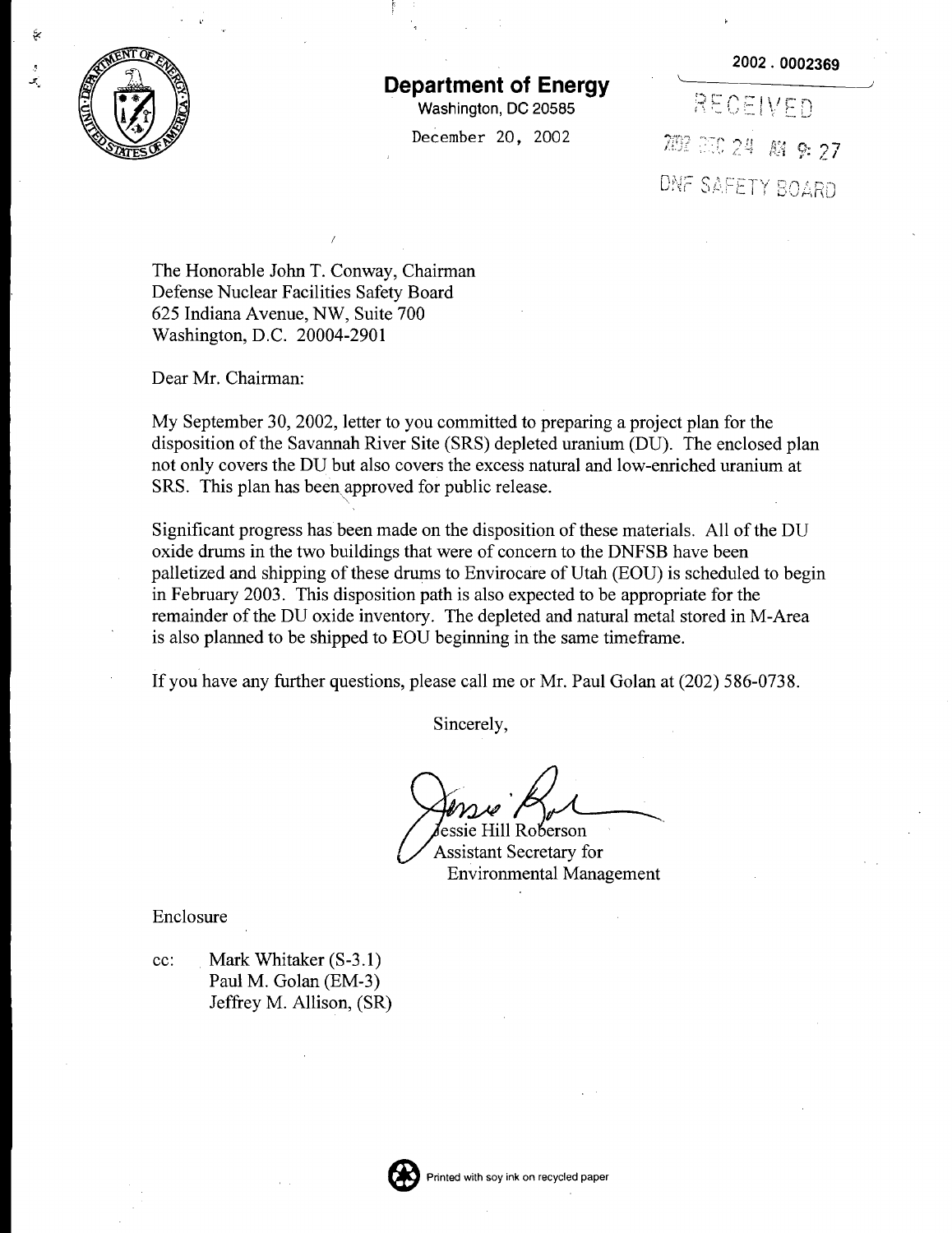



## **Department of Energy**

Washington, DC 20585

December 20, 2002

RECEIVED 282 250 24 AM 9: 27 DNF SAFETY BOARD

The Honorable John T. Conway, Chairman Defense Nuclear Facilities Safety Board 625 Indiana Avenue, NW, Suite 700 Washington, D.C. 20004-2901

Dear Mr. Chairman:

My September 30, 2002, letter to you committed to preparing a project plan for the disposition of the Savannah River Site (SRS) depleted uranium (DU). The enclosed plan not only covers the DU but also covers the excess natural and low-enriched uranium at SRS. This plan has been approved for public release. ",

Significant progress has been made on the disposition of these materials. All of the DU oxide drums in the two buildings that were of concern to the DNFSB have been palletized and shipping ofthese drums to Envirocare of Utah (EOU) is scheduled to begin in February 2003. This disposition path is also expected to be appropriate for the remainder of the DU oxide inventory. The depleted and natural metal stored in M-Area is also planned to be shipped to EOU beginning in the same timeframe.

If you have any further questions, please call me or Mr. Paul Golan at (202) 586-0738.

Sincerely,

/ . *j}*rL-----.

'essie Hill Roberson Assistant Secretary for Environmental Management

Enclosure

cc: Mark Whitaker (S-3.1) Paul M. Golan (EM-3) Jeffrey M. Allison, (SR)

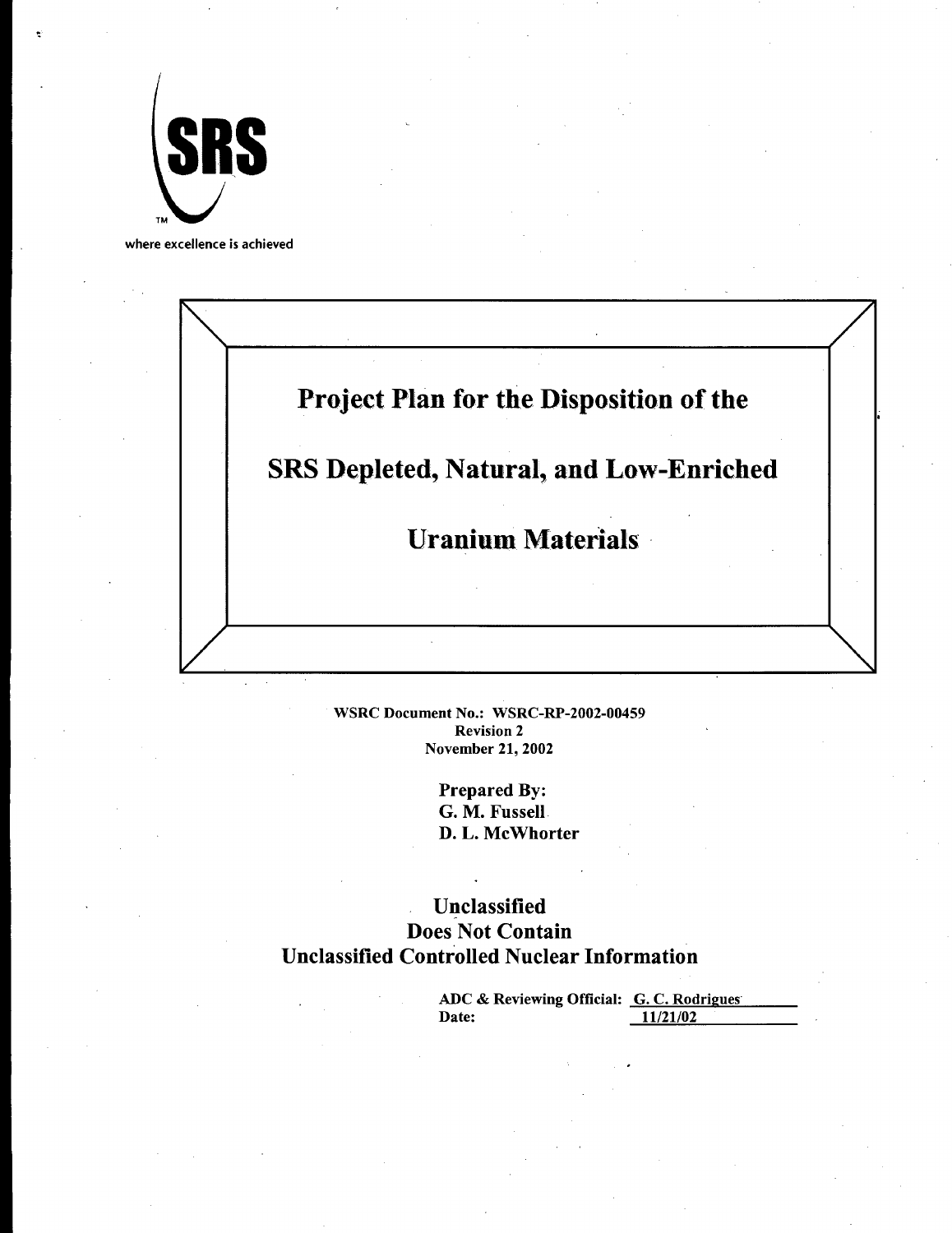

where excellence is achieved



WSRC Document No.: WSRC-RP-2002-00459 Revision 2 November 21, 2002

> Prepared By: G. M. Fussell D. L. McWhorter

Unclassified Does Not Contain Unclassified Controlled Nuclear Information

| ADC & Reviewing Official: G.C. Rodrigues |          |
|------------------------------------------|----------|
| Date:                                    | 11/21/02 |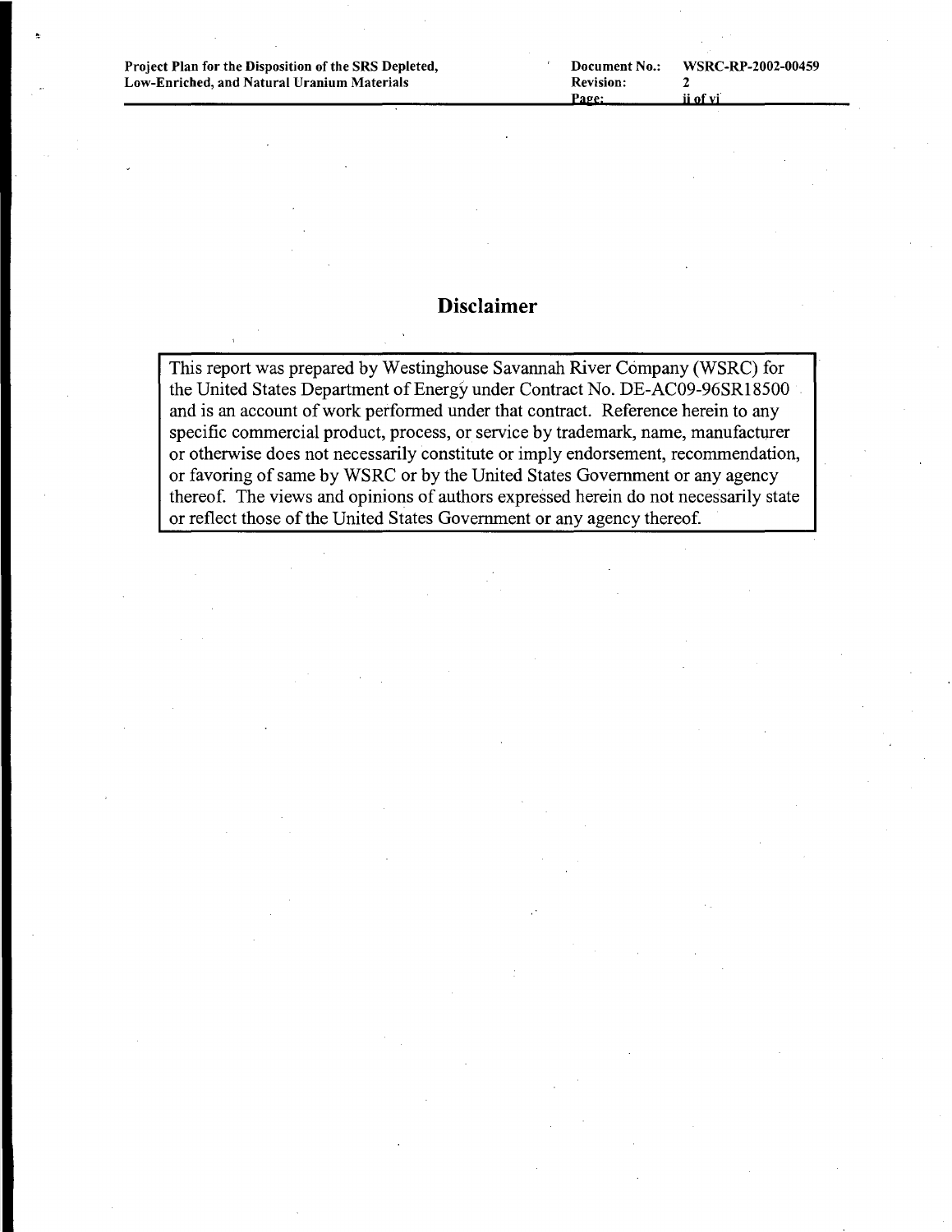Project Plan for the Disposition of the SRS Depleted, Low-Enriched, and Natural Uranium Materials

## **Disclaimer**

This report was prepared by Westinghouse Savannah River Company (WSRC) for the United States Department of Energy under Contract No. DE-AC09-96SR18500 and is an account of work performed under that contract. Reference herein to any specific commercial product, process, or service by trademark, name, manufacturer or otherwise does not necessarily constitute or imply endorsement, recommendation, or favoring of same by WSRC or by the United States Government or any agency thereof. The views and opinions of authors expressed herein do not necessarily state or reflect those of the United States Government or any agency thereof.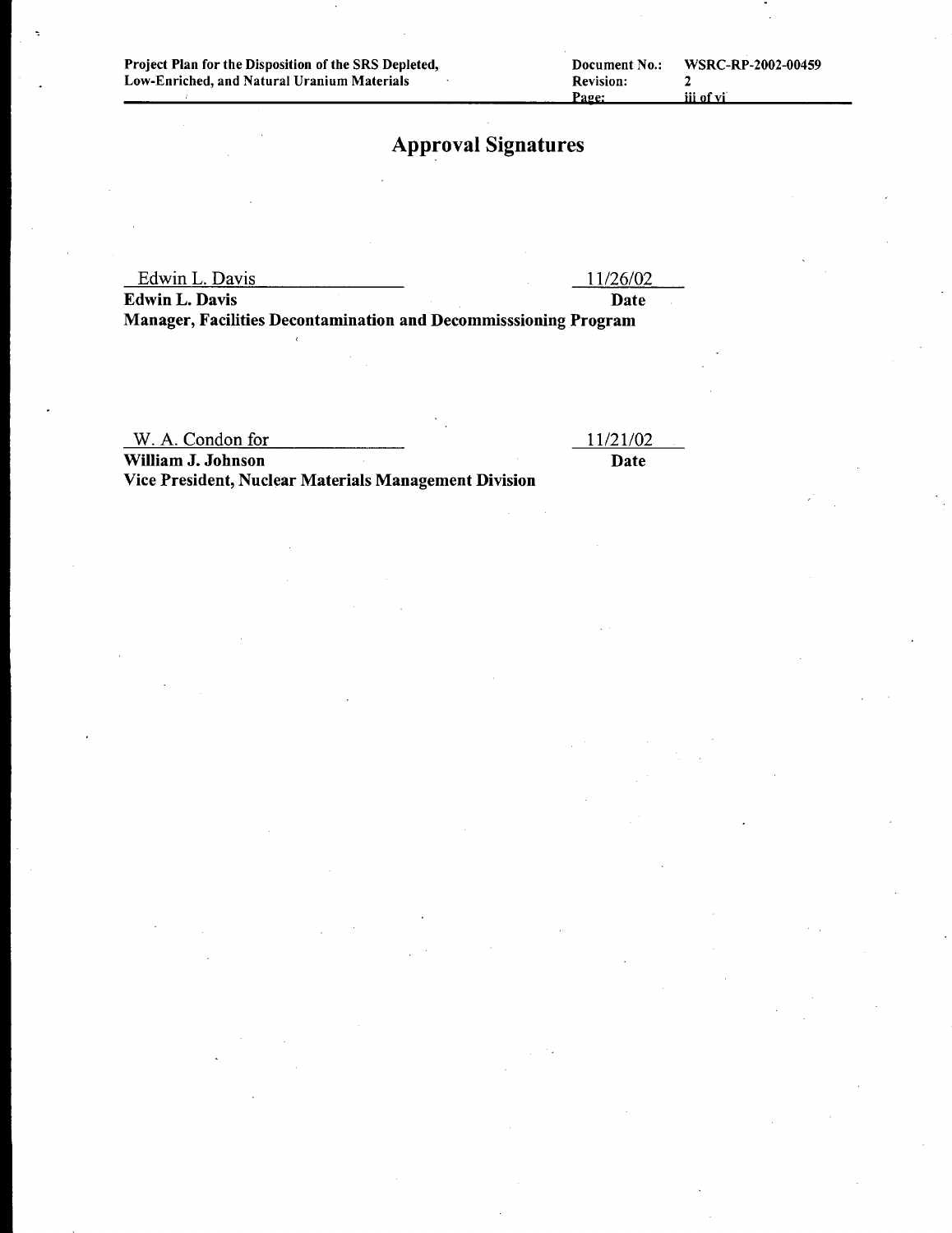## Approval Signatures

Edwin L. Davis 11/26/02

Edwin L. Davis Date Manager, Facilities Decontamination and Decommisssioning Program

W. A. Condon for

11121102 Date

William J. Johnson Vice President, Nuclear Materials Management Division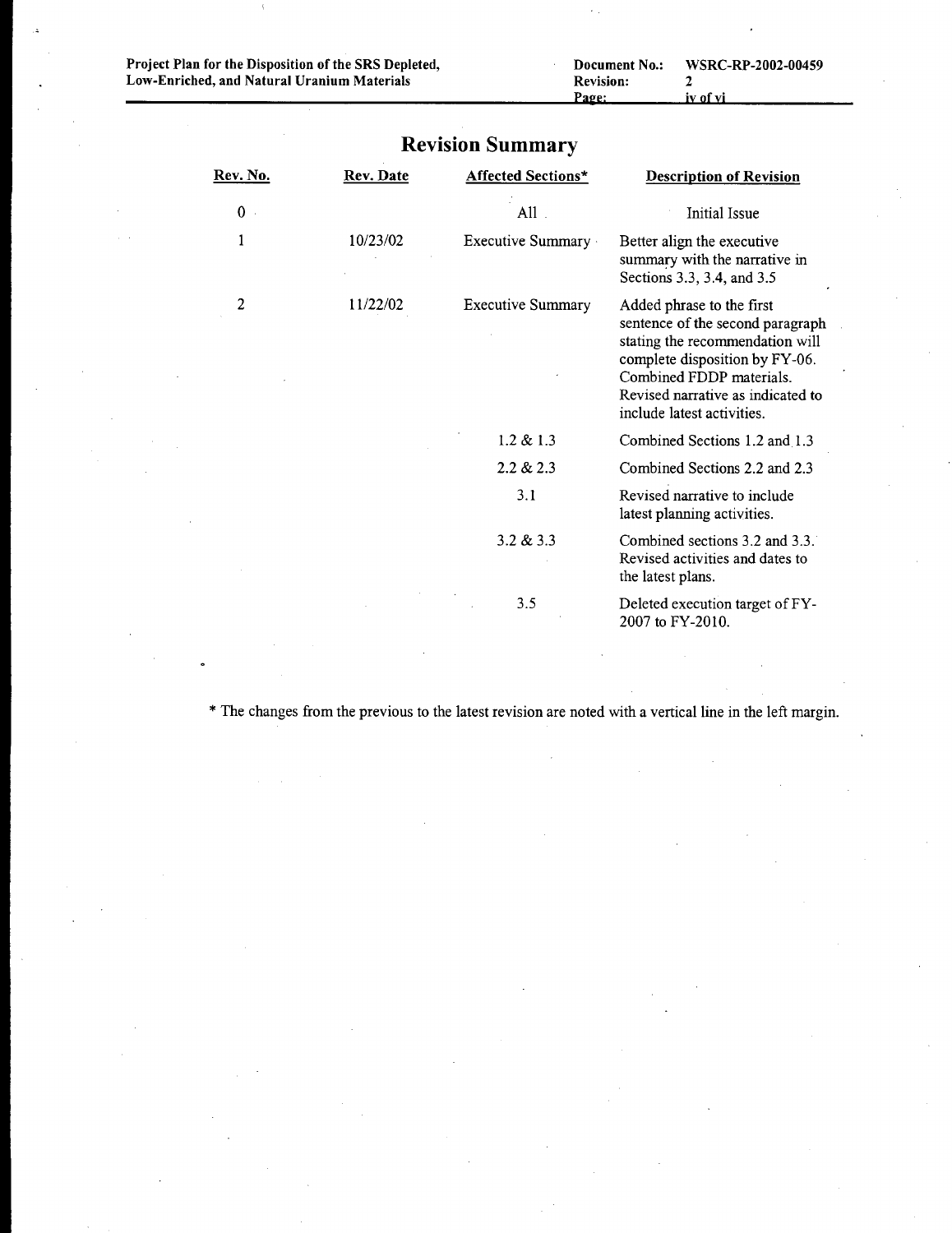| Document No.:    | WSRC-RP-2002-00459 |
|------------------|--------------------|
| <b>Revision:</b> |                    |
| Page:            | iv of vi           |
|                  |                    |

| Rev. No.    | Rev. Date | <b>Affected Sections*</b> | <b>Description of Revision</b>                                                                                                                                                                                                    |
|-------------|-----------|---------------------------|-----------------------------------------------------------------------------------------------------------------------------------------------------------------------------------------------------------------------------------|
| $\mathbf 0$ |           | $All$ .                   | Initial Issue                                                                                                                                                                                                                     |
| 1           | 10/23/02  | Executive Summary         | Better align the executive<br>summary with the narrative in<br>Sections 3.3, 3.4, and 3.5                                                                                                                                         |
| 2           | 11/22/02  | <b>Executive Summary</b>  | Added phrase to the first<br>sentence of the second paragraph<br>stating the recommendation will<br>complete disposition by FY-06.<br>Combined FDDP materials.<br>Revised narrative as indicated to<br>include latest activities. |
|             |           | $1.2 \& 1.3$              | Combined Sections 1.2 and 1.3                                                                                                                                                                                                     |
|             |           | 2.2 & 2.3                 | Combined Sections 2.2 and 2.3                                                                                                                                                                                                     |
|             |           | 3.1                       | Revised narrative to include<br>latest planning activities.                                                                                                                                                                       |
|             |           | 3.2 & 3.3                 | Combined sections 3.2 and 3.3.<br>Revised activities and dates to<br>the latest plans.                                                                                                                                            |
|             |           | 3.5                       | Deleted execution target of FY-<br>2007 to FY-2010.                                                                                                                                                                               |

## **Revision Summary**

\* The changes from the previous to the latest revision are noted with a vertical line in the left margin.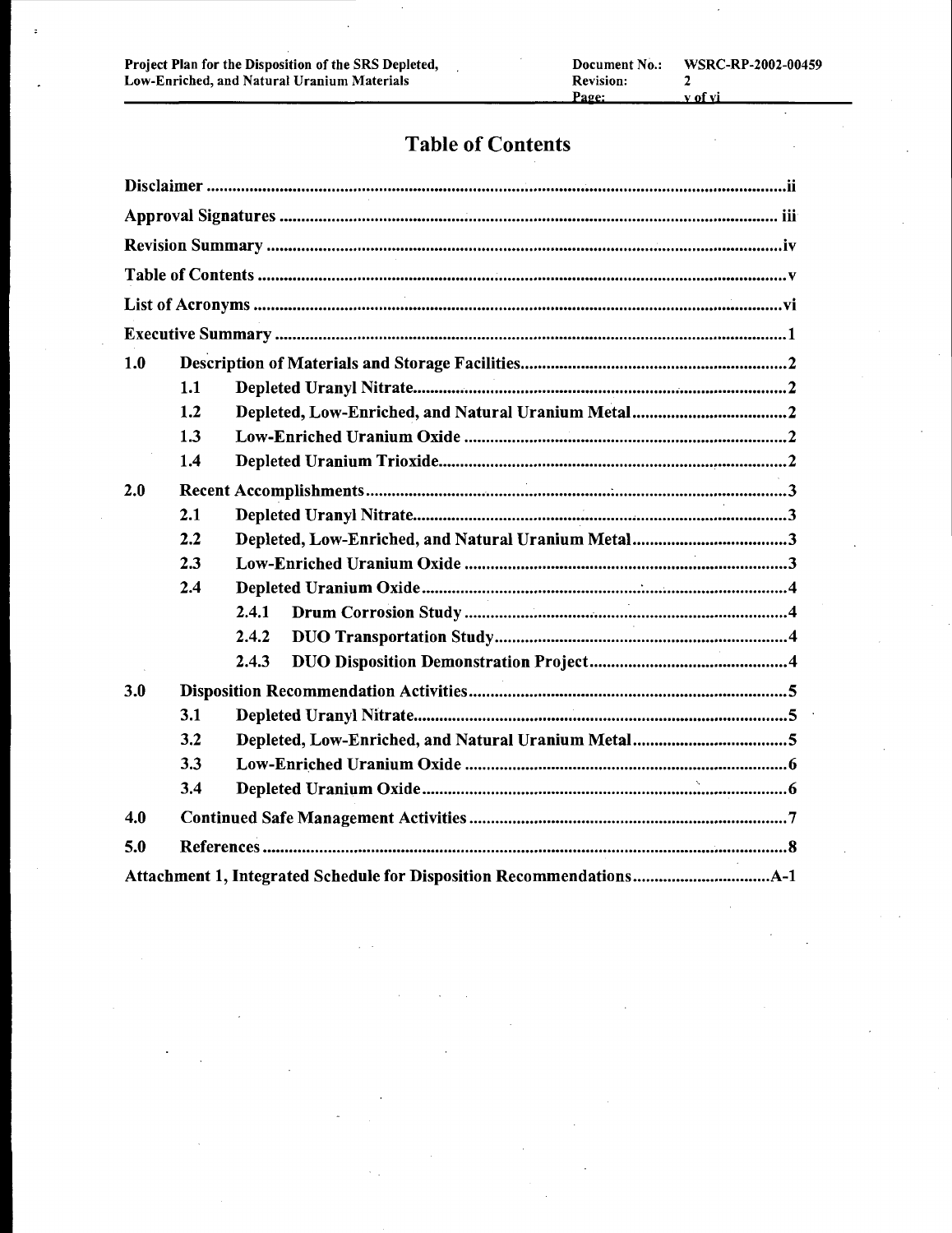# Table of Contents

| 1.0 |     |       |
|-----|-----|-------|
|     | 1.1 |       |
|     | 1.2 |       |
|     | 1.3 |       |
|     | 1.4 |       |
| 2.0 |     |       |
|     | 2.1 |       |
|     | 2.2 |       |
|     | 2.3 |       |
|     | 2.4 |       |
|     |     | 2.4.1 |
|     |     | 2.4.2 |
|     |     | 2.4.3 |
| 3.0 |     |       |
|     | 3.1 |       |
|     | 3.2 |       |
|     | 3.3 |       |
|     | 3.4 |       |
| 4.0 |     |       |
| 5.0 |     |       |
|     |     |       |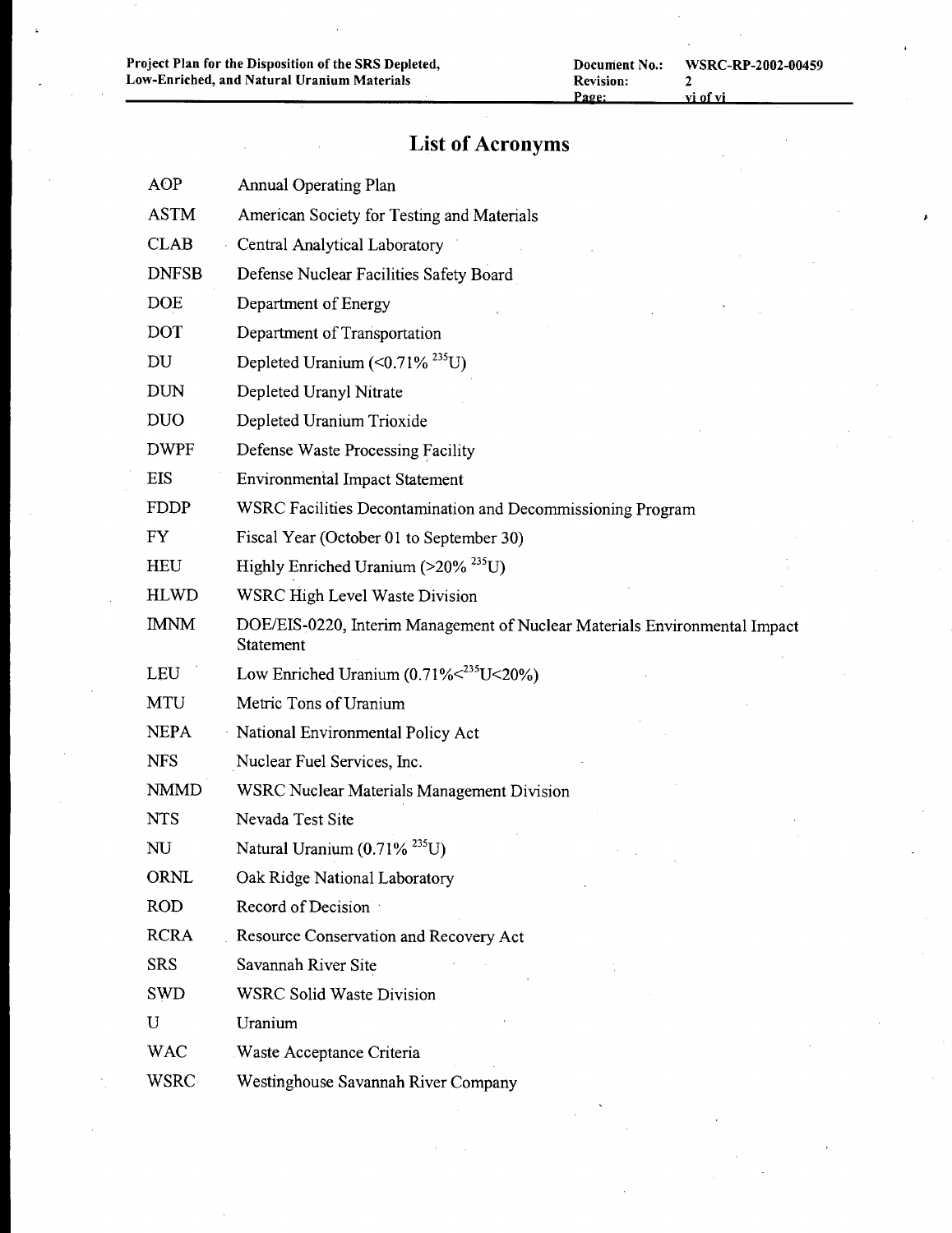$\hat{\boldsymbol{\beta}}$ 

# **List of Acronyms**

| <b>AOP</b>   | <b>Annual Operating Plan</b>                                                            |
|--------------|-----------------------------------------------------------------------------------------|
| <b>ASTM</b>  | American Society for Testing and Materials                                              |
| <b>CLAB</b>  | Central Analytical Laboratory                                                           |
| <b>DNFSB</b> | Defense Nuclear Facilities Safety Board                                                 |
| <b>DOE</b>   | Department of Energy                                                                    |
| <b>DOT</b>   | Department of Transportation                                                            |
| DU           | Depleted Uranium $(\leq 0.71\%$ <sup>235</sup> U)                                       |
| <b>DUN</b>   | Depleted Uranyl Nitrate                                                                 |
| <b>DUO</b>   | Depleted Uranium Trioxide                                                               |
| <b>DWPF</b>  | Defense Waste Processing Facility                                                       |
| <b>EIS</b>   | <b>Environmental Impact Statement</b>                                                   |
| <b>FDDP</b>  | WSRC Facilities Decontamination and Decommissioning Program                             |
| <b>FY</b>    | Fiscal Year (October 01 to September 30)                                                |
| <b>HEU</b>   | Highly Enriched Uranium (>20% <sup>235</sup> U)                                         |
| <b>HLWD</b>  | <b>WSRC High Level Waste Division</b>                                                   |
| <b>IMNM</b>  | DOE/EIS-0220, Interim Management of Nuclear Materials Environmental Impact<br>Statement |
| LEU          | Low Enriched Uranium $(0.71\%235U<20%)$                                                 |
| <b>MTU</b>   | Metric Tons of Uranium                                                                  |
| <b>NEPA</b>  | National Environmental Policy Act                                                       |
| <b>NFS</b>   | Nuclear Fuel Services, Inc.                                                             |
| <b>NMMD</b>  | <b>WSRC Nuclear Materials Management Division</b>                                       |
| <b>NTS</b>   | Nevada Test Site                                                                        |
| NU           | Natural Uranium (0.71% <sup>235</sup> U)                                                |
| ORNL         | Oak Ridge National Laboratory                                                           |
| <b>ROD</b>   | Record of Decision                                                                      |
| <b>RCRA</b>  | Resource Conservation and Recovery Act                                                  |
| <b>SRS</b>   | Savannah River Site                                                                     |
| <b>SWD</b>   | <b>WSRC Solid Waste Division</b>                                                        |
| U            | Uranium                                                                                 |
| <b>WAC</b>   | <b>Waste Acceptance Criteria</b>                                                        |
| <b>WSRC</b>  | Westinghouse Savannah River Company                                                     |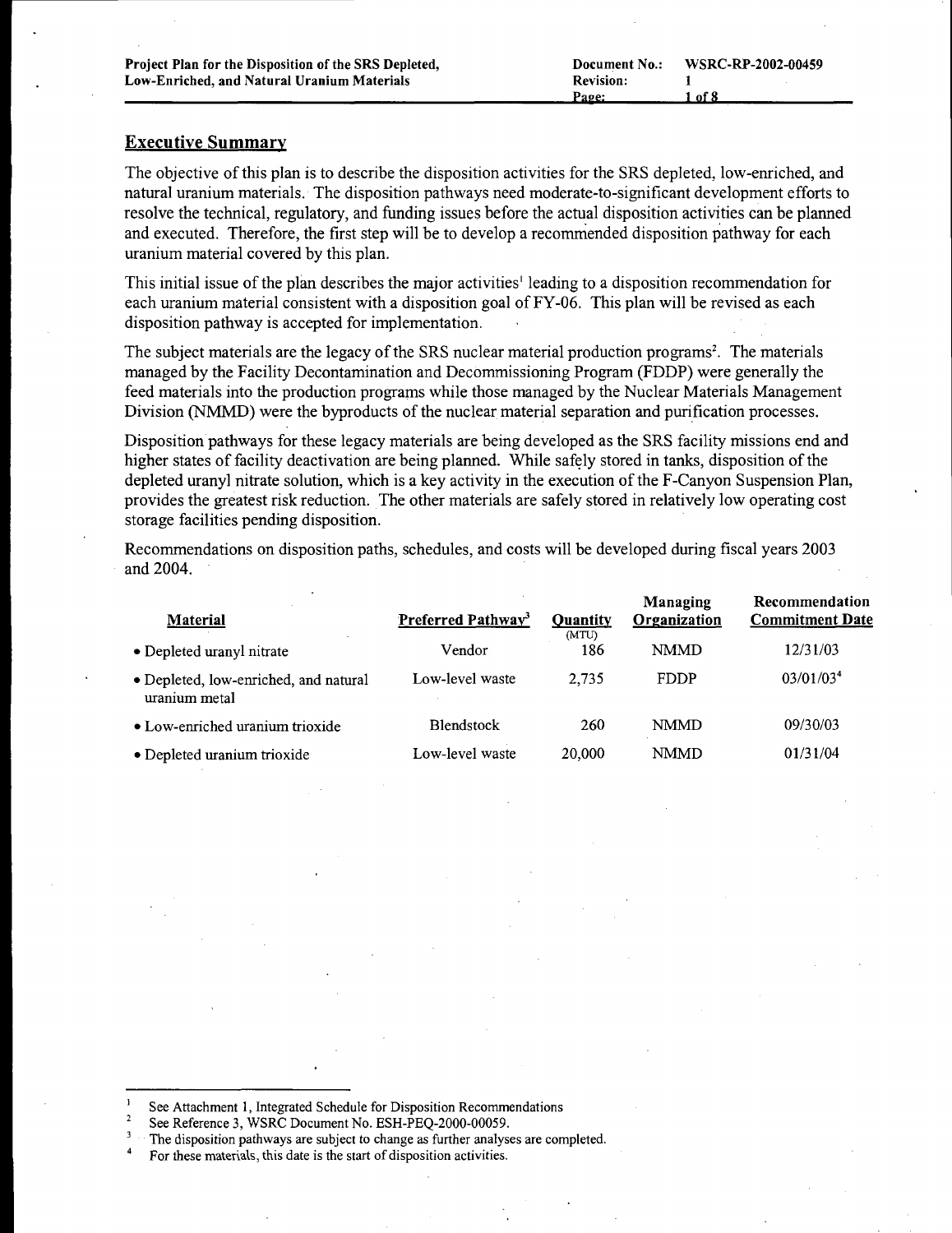#### Executive Summary

The objective of this plan is to describe the disposition activities for the SRS depleted, low-enriched, and natural uranium materials. The disposition pathways need moderate-to-significant development efforts to resolve the technical, regulatory, and funding issues before the actual disposition activities can be planned and executed. Therefore, the first step will be to develop a recommended disposition pathway for each uranium material covered by this plan.

This initial issue ofthe plan describes the major activities' leading to a disposition recommendation for each uranium material consistent with a disposition goal of FY-06. This plan will be revised as each disposition pathway is accepted for implementation.

The subject materials are the legacy of the SRS nuclear material production programs<sup>2</sup>. The materials managed by the Facility Decontamination and Decommissioning Program (FDDP) were generally the feed materials into the production programs while those managed by the Nuclear Materials Management Division (NMMD) were the byproducts of the nuclear material separation and purification processes.

Disposition pathways for these legacy materials are being developed as the SRS facility missions end and higher states of facility deactivation are being planned. While safely stored in tanks, disposition of the depleted uranyl nitrate solution, which is a key activity in the execution of the F-Canyon Suspension Plan, provides the greatest risk reduction..The other materials are safely stored in relatively low operating cost storage facilities pending disposition.

Recommendations on disposition paths, schedules, and costs will be developed during fiscal years 2003 and 2004.

|                                                        |                                |                 | Managing     | Recommendation         |
|--------------------------------------------------------|--------------------------------|-----------------|--------------|------------------------|
| <b>Material</b>                                        | Preferred Pathway <sup>3</sup> | <b>Ouantity</b> | Organization | <b>Commitment Date</b> |
| • Depleted uranyl nitrate                              | Vendor                         | (MTU)<br>186    | <b>NMMD</b>  | 12/31/03               |
| · Depleted, low-enriched, and natural<br>uranium metal | Low-level waste                | 2.735           | <b>FDDP</b>  | 03/01/03 <sup>4</sup>  |
| • Low-enriched uranium trioxide                        | <b>Blendstock</b>              | 260             | <b>NMMD</b>  | 09/30/03               |
| · Depleted uranium trioxide                            | Low-level waste                | 20,000          | <b>NMMD</b>  | 01/31/04               |

See Attachment I, Integrated Schedule for Disposition Recommendations

 $\overline{2}$ See Reference 3, WSRC Document No. ESH-PEQ-2000-00059.

The disposition pathways are subject to change as further analyses are completed.

For these materials, this date is the start of disposition activities.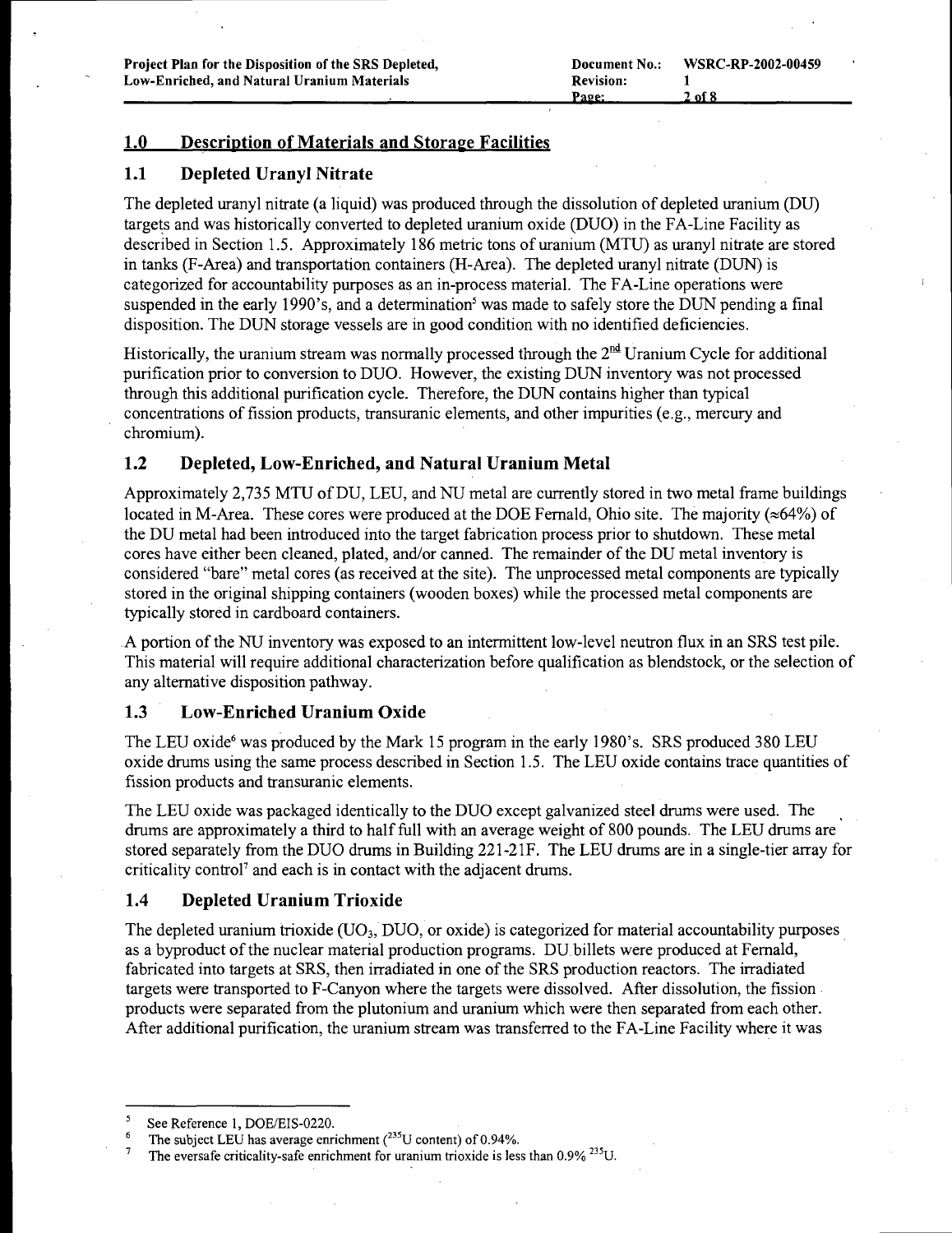## 1.0 Description of Materials and Storage Facilities

### 1.1 Depleted Uranyl Nitrate

The depleted uranyl nitrate (a liquid) was produced through the dissolution of depleted uranium (DU) targets and was historically converted to depleted uranium oxide (DUO) in the FA-Line Facility as described in Section 1.5. Approximately 186 metric tons of uranium (MTU) as uranyl nitrate are stored in tanks (F-Area) and transportation containers (H-Area). The depleted uranyl nitrate (DUN) is categorized for accountability purposes as an in-process material. The FA-Line operations were suspended in the early 1990's, and a determination<sup>5</sup> was made to safely store the DUN pending a final disposition. The DUN storage vessels are in good condition with no identified deficiencies.

Historically, the uranium stream was normally processed through the  $2<sup>nd</sup>$  Uranium Cycle for additional purification prior to conversion to DUO. However, the existing DUN inventory was not processed through this additional purification cycle. Therefore, the DUN contains higher than typical concentrations of fission products, transuranic elements, and other impurities (e.g., mercury and chromium).

#### 1.2 Depleted, Low-Enriched, and Natural Uranium Metal

Approximately 2,735 MTU ofDU, LEU, and NU metal are currently stored in two metal frame buildings located in M-Area. These cores were produced at the DOE Fernald, Ohio site. The majority ( $\approx 64\%$ ) of the DU metal had been introduced into the target fabrication process prior to shutdown. These metal cores have either been cleaned, plated, and/or canned. The remainder of the DU metal inventory is considered "bare" metal cores (as received at the site). The unprocessed metal components are typically stored in the original shipping containers (wooden boxes) while the processed metal components are typically stored in cardboard containers.

.A portion of the NU inventory was exposed to an intermittent low-level neutron flux in an SRS test pile. This material will require additional characterization before qualification as blendstock, or the selection of any alternative disposition pathway.

#### 1.3 Low-Enriched Uranium Oxide

The LEU oxide<sup>6</sup> was produced by the Mark 15 program in the early 1980's. SRS produced 380 LEU oxide drums using the same process described in Section 1.5. The LEU oxide contains trace quantities of fission products and transuranic elements.

The LEU oxide was packaged identically to the DUO except galvanized steel drums were used. The drums are approximately a third to halffull with an average weight of 800 pounds. The LEU drums are stored separately from the DUO drums in Building 221-21F. The LEU drums are in a single-tier array for criticality control<sup>7</sup> and each is in contact with the adjacent drums.

#### 1.4 Depleted Uranium Trioxide

The depleted uranium trioxide (V03, DUO, or oxide) is categorized for material accountability purposes. as a byproduct of the nuclear material production programs. DU billets were produced at Fernald, fabricated into targets at SRS, then irradiated in one of the SRS production reactors. The irradiated targets were transported to F-Canyon where the targets were dissolved. After dissolution, the fission. products were separated from the plutonium and uranium which were then separated from each other. After additional purification, the uranium stream was transferred to the FA-Line Facility where it was

See Reference 1, DOE/EIS-0220.

The subject LEU has average enrichment  $(^{235}$ U content) of 0.94%.

The eversafe criticality-safe enrichment for uranium trioxide is Jess than 0.9% <sup>235</sup>U.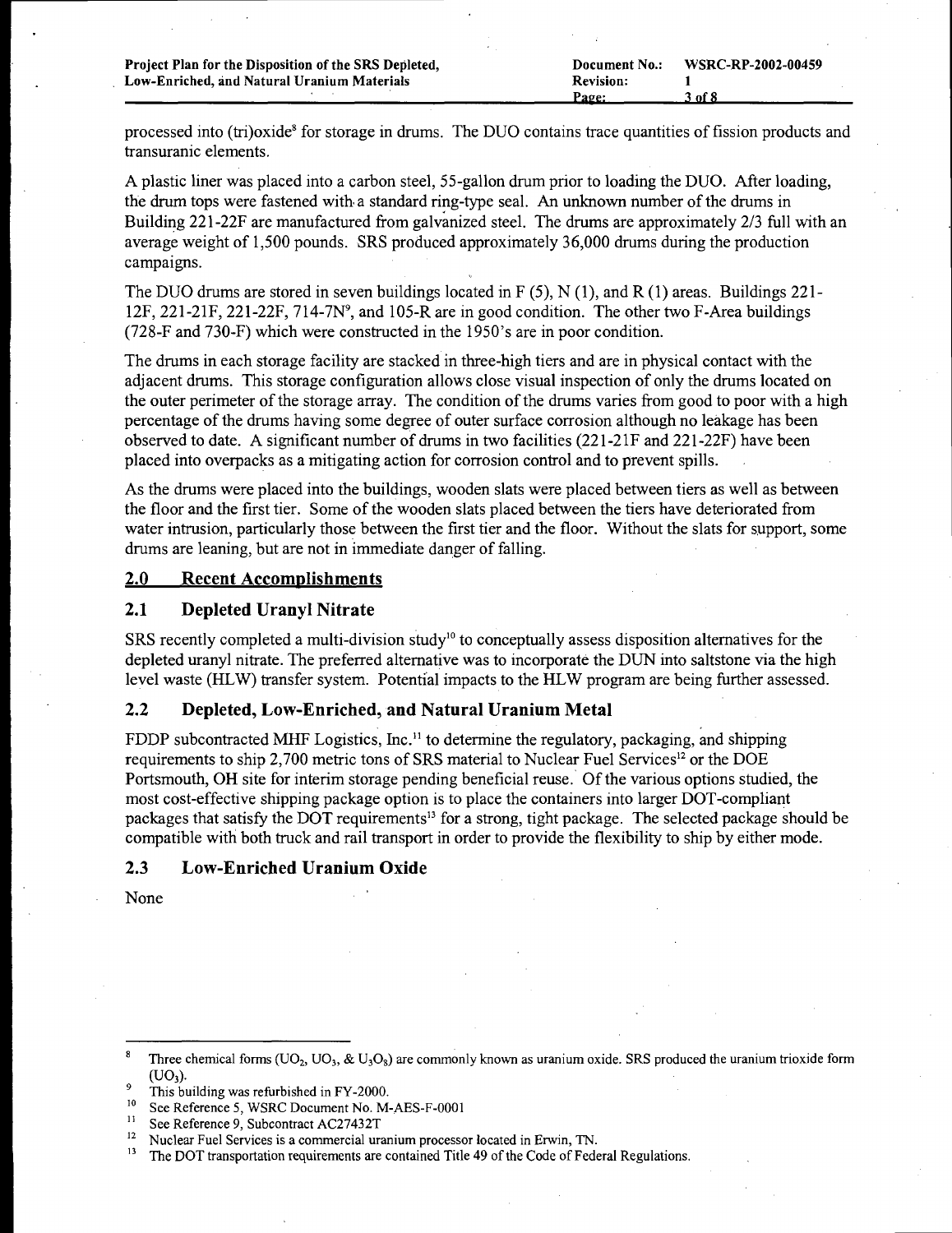processed into (tri)oxide<sup>8</sup> for storage in drums. The DUO contains trace quantities of fission products and transuranic elements.

A plastic liner was placed into a carbon steel, 55-gallon drum prior to loading the DUO. After loading, the drum tops were fastened with a standard ring-type seal. An unknown number ofthe drums in Building 22l-22F are manufactured from galvanized steel. The drums are approximately 2/3 full with an average weight of 1,500 pounds. SRS produced approximately 36,000 drums during the production campaigns.

The DUO drums are stored in seven buildings located in F (5), N (1), and R (1) areas. Buildings 221-12F, 221-21F, 221-22F, 714-7N<sup>9</sup>, and 105-R are in good condition. The other two F-Area buildings (728-F and 730-F) which were constructed in the 1950's are in poor condition.

The drums in each storage facility are stacked in three-high tiers and are in physical contact with the adjacent drums. This storage configuration allows close visual inspection of only the drums located on the outer perimeter of the storage array. The condition of the drums varies from good to poor with a high percentage of the drums having some degree of outer surface corrosion although no leakage has been observed to date. A significant number of drums in two facilities (22l-2lF and 22l-22F) have been placed into overpacks as a mitigating action for corrosion control and to prevent spills.

As the drums were placed into the buildings, wooden slats were placed between tiers as well as between the floor and the first tier. Some of the wooden slats placed between the tiers have deteriorated from water intrusion, particularly those between the first tier and the floor. Without the slats for support, some drums are leaning, but are not in immediate danger of falling.

#### 2.0 Recent Accomplishments

### 2.1 Depleted Uranyl Nitrate

SRS recently completed a multi-division study<sup>10</sup> to conceptually assess disposition alternatives for the depleted uranyl nitrate. The preferred alternative was to incorporate the DUN into saltstone via the high level waste (HLW) transfer system. Potential impacts to the HLW program are being further assessed.

#### 2.2 Depleted, Low-Enriched,and Natural Uranium Metal

FDDP subcontracted MHF Logistics, Inc.<sup>11</sup> to determine the regulatory, packaging, and shipping requirements to ship 2,700 metric tons of SRS material to Nuclear Fuel Services<sup>12</sup> or the DOE Portsmouth, OH site for interim storage pending beneficial reuse. Of the various options studied, the most cost-effective shipping package option is to place the containers into larger DOT-compliant packages that satisfy the DOT requirements13 for a strong, tight package. The selected package should be compatible with both truck and rail transport in order to provide the flexibility to ship by either mode.

#### 2.3 Low-Enriched Uranium Oxide

None

Three chemical forms ( $UO_2$ ,  $UO_3$ , &  $U_3O_8$ ) are commonly known as uranium oxide. SRS produced the uranium trioxide form  $(UO<sub>3</sub>)$ .

 $^{9}$  This building was refurbished in FY-2000.

<sup>&</sup>lt;sup>10</sup> See Reference 5, WSRC Document No. M-AES-F-0001

<sup>&</sup>lt;sup>11</sup> See Reference 9, Subcontract AC27432T<br><sup>12</sup> Mushar Eval Services is a communial vru

<sup>&</sup>lt;sup>12</sup> Nuclear Fuel Services is a commercial uranium processor located in Erwin, TN.<br><sup>13</sup> The DOT transportation requirements are contained Title 40 of the Code of Eads

<sup>13</sup> The DOT transportation requirements are contained Title 49 ofthe Code of Federal Regulations.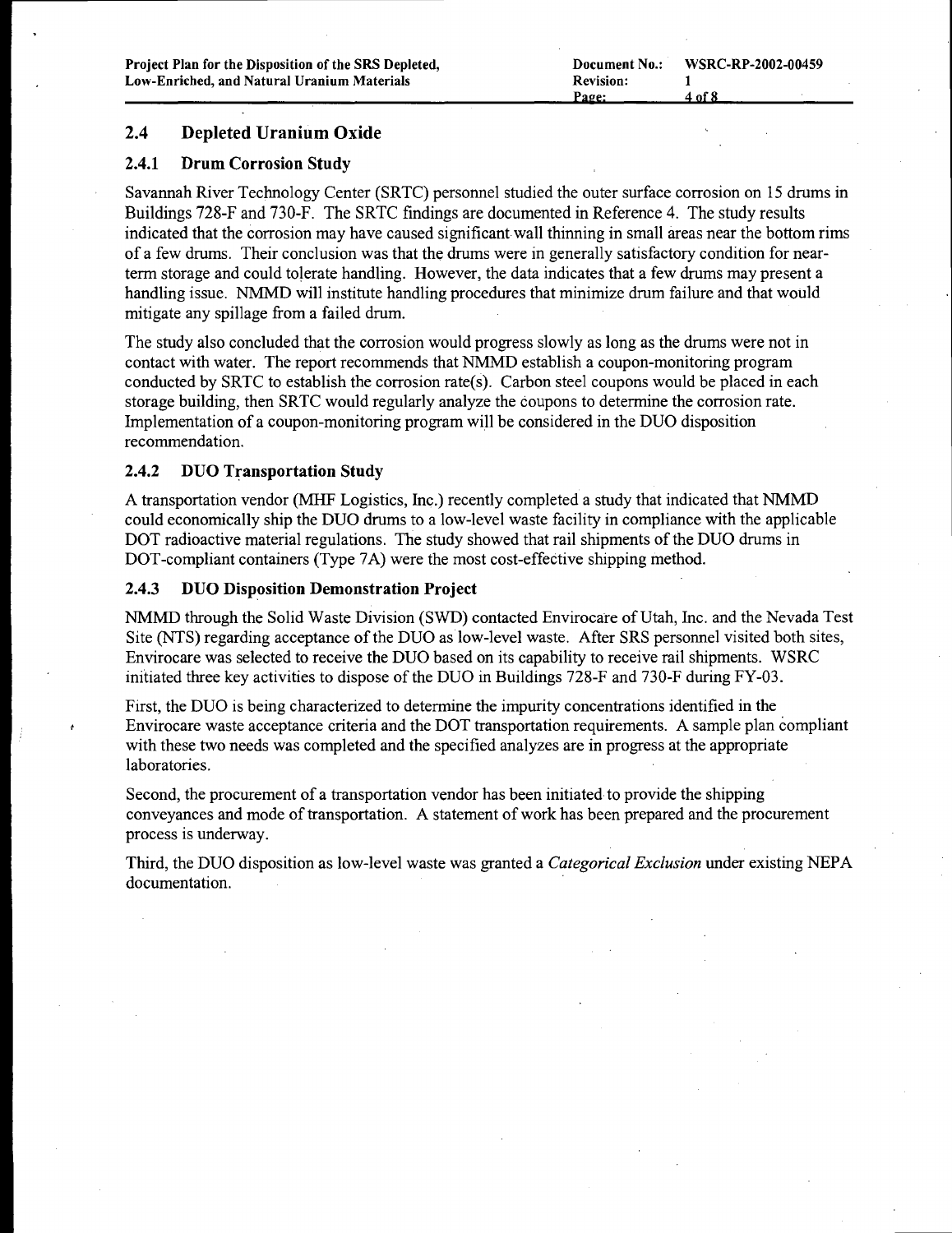### 2.4 Depleted Uranium Oxide

#### 2.4.1 Drum Corrosion Study

Savannah River Technology Center (SRTC) personnel studied the outer surface corrosion on 15 drums in Buildings 728-F and 730-F. The SRTC findings are documented in Reference 4. The study results indicated that the corrosion may have caused significantwall thinning in small areas near the bottom rims of a few drums. Their conclusion was that the drums were in generally satisfactory condition for nearterm storage and could tolerate handling. However, the data indicates that a few drums may present a handling issue. NMMD will institute handling procedures that minimize drum failure and that would mitigate any spillage from a failed drum.

The study also concluded that the corrosion would progress slowly as long as the drums were not in contact with water. The report recommends that NMMD establish a coupon-monitoring program conducted by SRTC to establish the corrosion rate(s). Carbon steel coupons would be placed in each storage building, then SRTC would regularly analyze the coupons to determine the corrosion rate. Implementation of a coupon-monitoring program will be considered in the DUO disposition recommendation.

#### 2.4.2 DUO Transportation Study

A transportation vendor (MHF Logistics, Inc.) recently completed a study that indicated that NMMD could economically ship the DUO drums to a low-level waste facility in compliance with the applicable DOT radioactive material regulations. The study showed that rail shipments of the DUO drums in DOT-compliant containers (Type 7A) were the most cost-effective shipping method.

#### 2.4.3 DUO Disposition Demonstration Project

NMMD through the Solid Waste Division (SWD) contacted Envirocare of Utah, Inc. and the Nevada Test Site (NTS) regarding acceptance ofthe DUO as low-level waste. After SRS personnel visited both sites, Envirocare was selected to receive the DUO based on its capability to receive rail shipments. WSRC initiated three key activities to dispose of the DUO in Buildings 728-F and 730-F during FY-03.

First, the DUO is being characterized to determine the impurity concentrations identified in the Envirocare waste acceptance criteria and the DOT transportation requirements. A sample plan compliant with these two needs was completed and the specified analyzes are in progress at the appropriate laboratories.

Second, the procurement of a transportation vendor has been initiated to provide the shipping conveyances and mode of transportation. A statement of work has been prepared and the procurement process is underway.

Third, the DUO disposition as low-level waste was granted a *Categorical Exclusion* under existing NEPA documentation.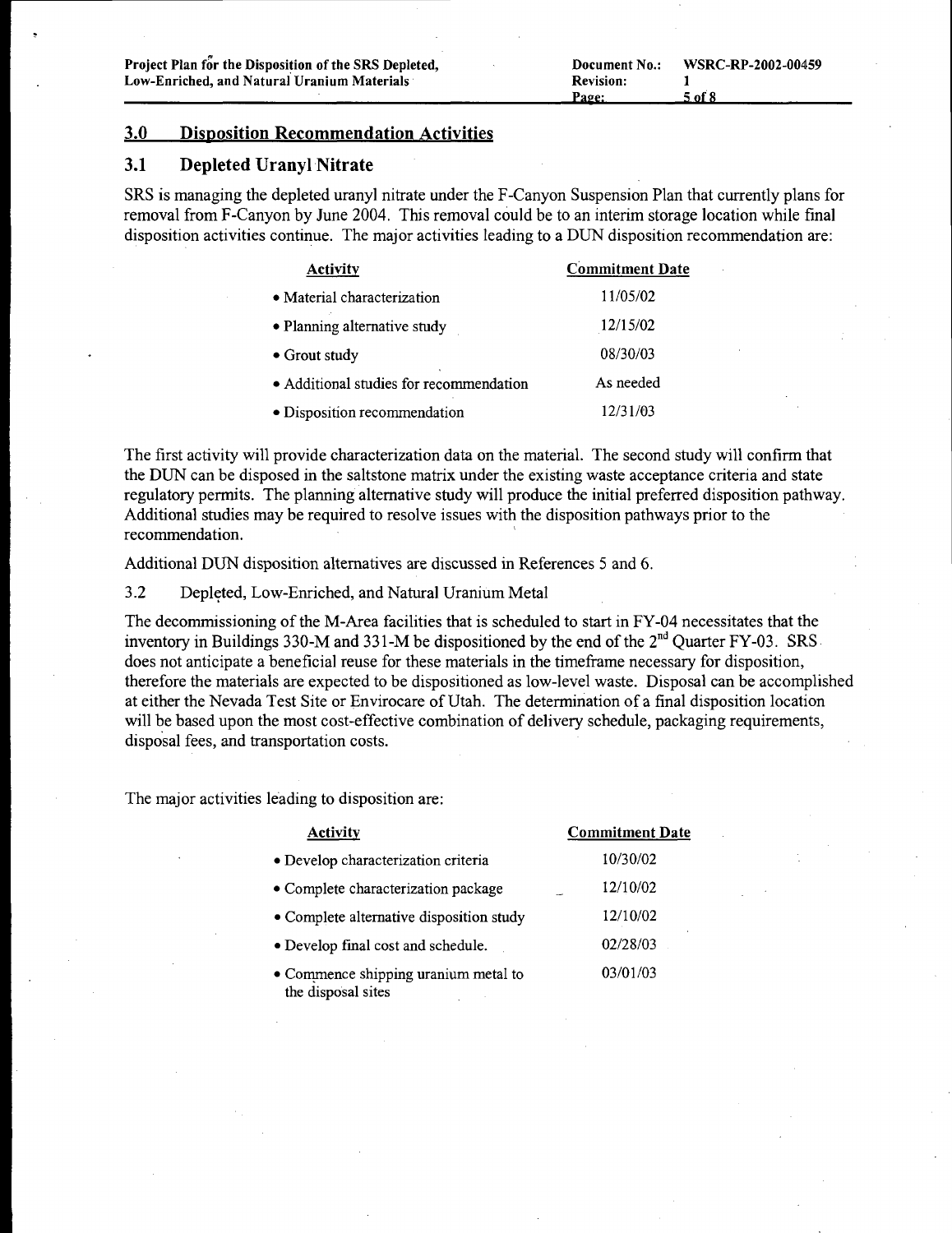#### 3.0 Disposition Recommendation Activities

#### 3.1 Depleted Uranyl Nitrate

SRS is managing the depleted uranyl nitrate under the F-Canyon Suspension Plan that currently plans for removal from F-Canyon by June 2004. This removal could be to an interim storage location while final disposition activities continue. The major activities leading to a DUN disposition recommendation are:

| <b>Activity</b>                         | <b>Commitment Date</b> |
|-----------------------------------------|------------------------|
| • Material characterization             | 11/05/02               |
| • Planning alternative study            | 12/15/02               |
| $\bullet$ Grout study                   | 08/30/03               |
| • Additional studies for recommendation | As needed              |
| • Disposition recommendation            | 12/31/03               |

The first activity will provide characterization data on the material. The second study will confirm that the DUN can be disposed in the saltstone matrix under the existing waste acceptance criteria and state regulatory permits. The planning alternative study will produce the initial preferred disposition pathway. Additional studies may be required to resolve issues with the disposition pathways prior to the recommendation.

Additional DUN disposition alternatives are discussed in References 5 and 6.

3.2 Depleted, Low-Enriched, and Natural Uranium Metal

The decommissioning of the M-Area facilities that is scheduled to start in FY-04 necessitates that the inventory in Buildings 330-M and 331-M be dispositioned by the end of the  $2<sup>nd</sup>$  Quarter FY-03. SRS does not anticipate a beneficial reuse for these materials in the timeframe necessary for disposition, therefore the materials are expected to be dispositioned as low-level waste. Disposal can be accomplished at either the Nevada Test Site or Envirocare of Utah. The determination ofa final disposition location will be based upon the most cost-effective combination of delivery schedule, packaging requirements, disposal fees, and transportation costs.

The major activities leading to disposition are:

| <b>Activity</b>                                            | <b>Commitment Date</b> |
|------------------------------------------------------------|------------------------|
| • Develop characterization criteria                        | 10/30/02               |
| • Complete characterization package                        | 12/10/02               |
| • Complete alternative disposition study                   | 12/10/02               |
| • Develop final cost and schedule.                         | 02/28/03               |
| • Commence shipping uranium metal to<br>the disposal sites | 03/01/03               |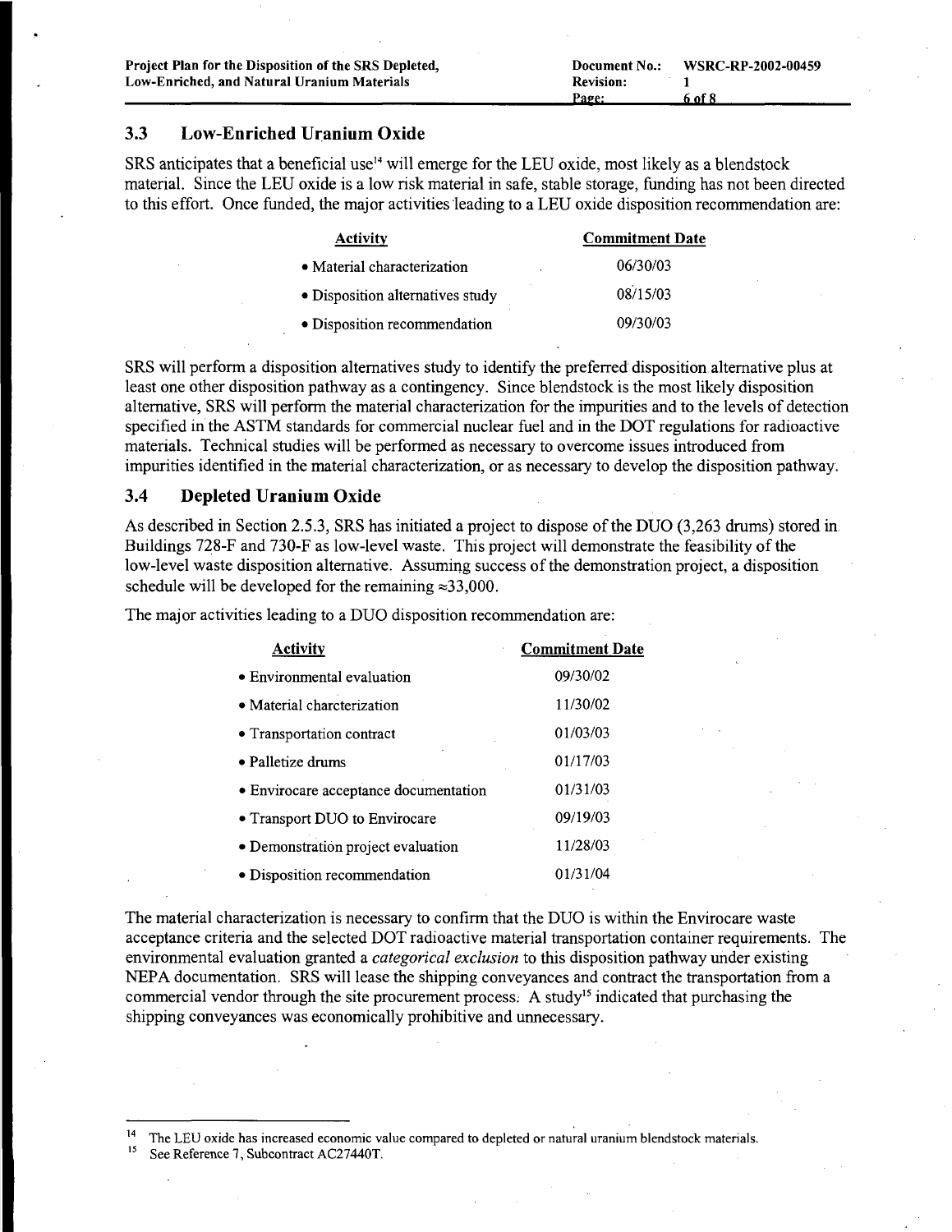#### 3.3 Low-Enriched Uranium Oxide

SRS anticipates that a beneficial use<sup>14</sup> will emerge for the LEU oxide, most likely as a blendstock material. Since the LEU oxide is a low risk material in safe, stable storage, funding has not been directed to this effort. Once funded, the major activities leading to a LEU oxide disposition recommendation are:

| <b>Activity</b>                  | <b>Commitment Date</b> |
|----------------------------------|------------------------|
| • Material characterization      | 06/30/03               |
| • Disposition alternatives study | 08/15/03               |
| • Disposition recommendation     | 09/30/03               |

SRS will perform a disposition alternatives study to identify the preferred disposition alternative plus at least one other disposition pathway as a contingency. Since blendstock is the most likely disposition alternative, SRS will perform the material characterization for the impurities and to the levels of detection specified in the ASTM standards for commercial nuclear fuel and in the DOT regulations for radioactive materials. Technical studies will be performed as necessary to overcome issues introduced from impurities identified in the material characterization, or as necessary to develop the disposition pathway.

#### 3.4 Depleted Uranium Oxide

As described in Section 2.5.3, SRS has initiated a project to dispose ofthe DUO (3,263 drums) stored in Buildings 728-F and 730-F as low-level waste. This project will demonstrate the feasibility of the low-level waste disposition alternative. Assuming success of the demonstration project, a disposition schedule will be developed for the remaining  $\approx 33,000$ .

The major activities leading to a DUO disposition recommendation are:

| <b>Activity</b>                       | <b>Commitment Date</b> |
|---------------------------------------|------------------------|
| • Environmental evaluation            | 09/30/02               |
| • Material charcterization            | 11/30/02               |
| • Transportation contract             | 01/03/03               |
| $\bullet$ Palletize drums             | 01/17/03               |
| · Envirocare acceptance documentation | 01/31/03               |
| • Transport DUO to Envirocare         | 09/19/03               |
| · Demonstration project evaluation    | 11/28/03               |
| · Disposition recommendation          | 01/31/04               |

The material characterization is necessary to confirm that the DUO is within the Envirocare waste acceptance criteria and the selected DOT radioactive material transportation container requirements. The environmental evaluation granted a *categorical exclusion* to this disposition pathway under existing NEPA documentation. SRS will lease the shipping conveyances and contract the transportation from a commercial vendor through the site procurement process. A study<sup>15</sup> indicated that purchasing the shipping conveyances was economically prohibitive and unnecessary.

See Reference 7, Subcontract AC27440T.

The LEU oxide has increased economic value compared to depleted or natural uranium blendstock materials.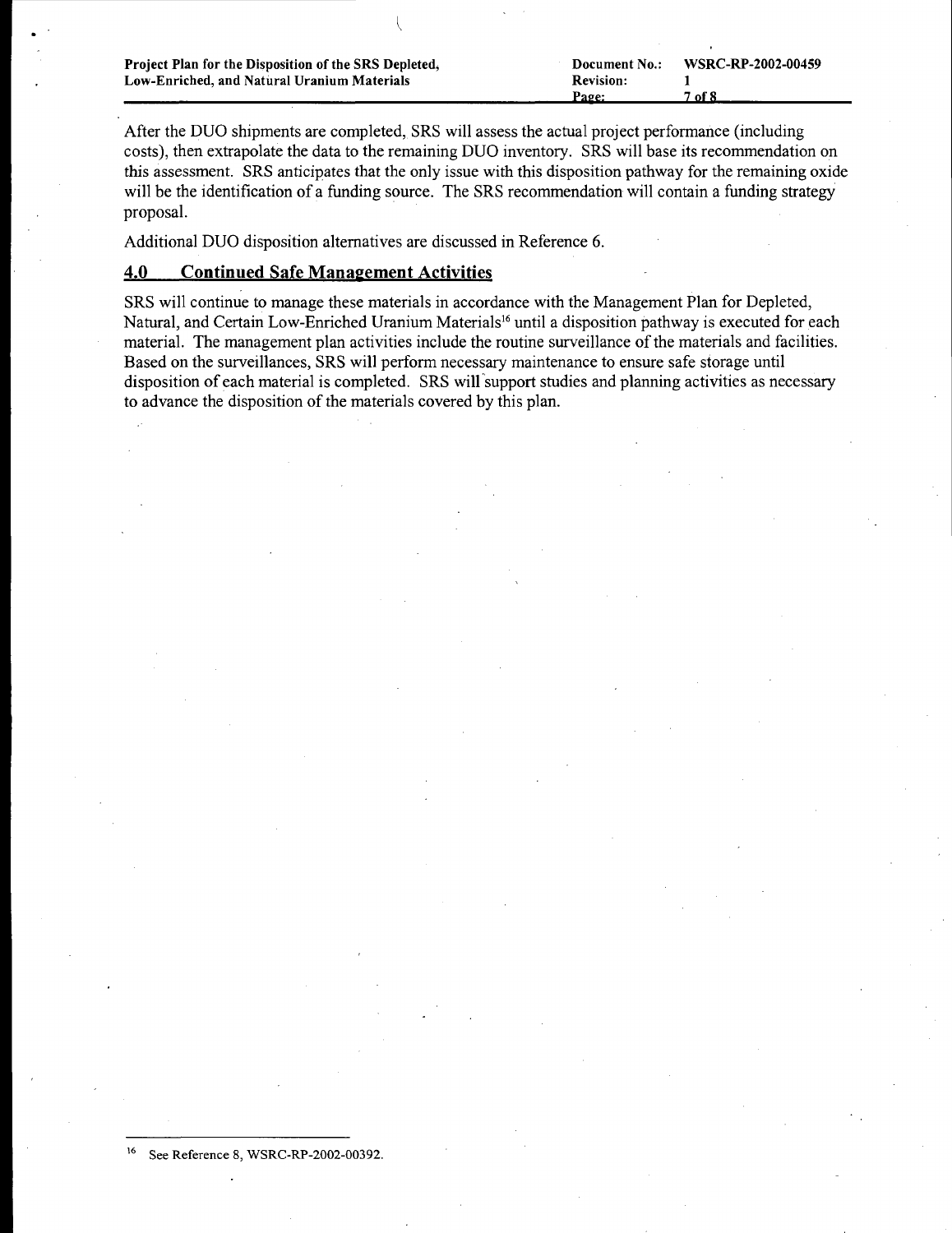| Project Plan for the Disposition of the SRS Depleted, | Document No.:    | WSRC-RP-2002-00459 |
|-------------------------------------------------------|------------------|--------------------|
| Low-Enriched, and Natural Uranium Materials           | <b>Revision:</b> |                    |
|                                                       | Page:            | 7 of 8             |

After the DUO shipments are completed, SRS will assess the actual project performance (including costs), then extrapolate the data to the remaining DUO inventory. SRS will base its recommendation on this assessment. SRS anticipates that the only issue with this disposition pathway for the remaining oxide will be the identification of a funding source. The SRS recommendation will contain a funding strategy proposal.

Additional DUO disposition alternatives are discussed in Reference 6.

## 4.0 Continued Safe Management Activities

SRS will continue to manage these materials in accordance with the Management Plan for Depleted, Natural, and Certain Low-Enriched Uranium Materials<sup>16</sup> until a disposition pathway is executed for each material. The management plan activities include the routine surveillance of the materials and facilities. Based on the surveillances, SRS will perform necessary maintenance to ensure safe storage until disposition of each material is completed. SRS will 'support studies and planning activities as necessary to advance the disposition of the materials covered by this plan.